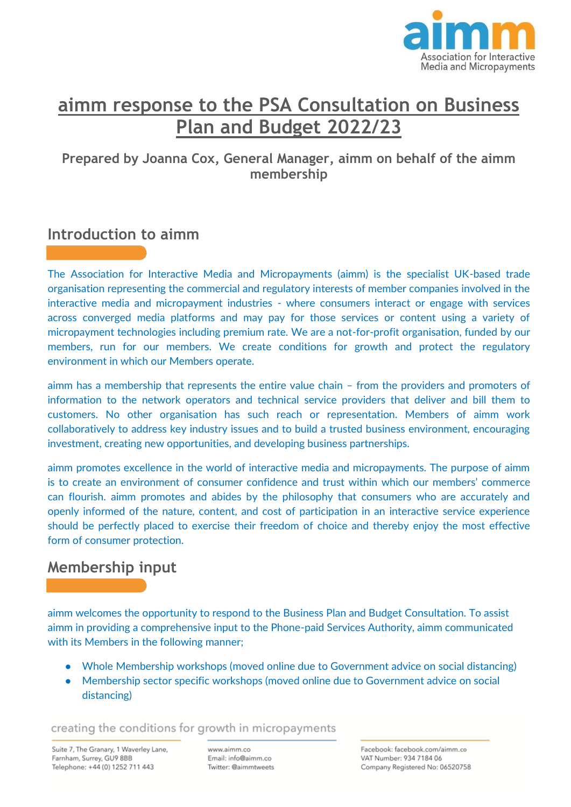

# **aimm response to the PSA Consultation on Business Plan and Budget 2022/23**

### **Prepared by Joanna Cox, General Manager, aimm on behalf of the aimm membership**

# **Introduction to aimm**

The Association for Interactive Media and Micropayments (aimm) is the specialist UK-based trade organisation representing the commercial and regulatory interests of member companies involved in the interactive media and micropayment industries - where consumers interact or engage with services across converged media platforms and may pay for those services or content using a variety of micropayment technologies including premium rate. We are a not-for-profit organisation, funded by our members, run for our members. We create conditions for growth and protect the regulatory environment in which our Members operate.

aimm has a membership that represents the entire value chain – from the providers and promoters of information to the network operators and technical service providers that deliver and bill them to customers. No other organisation has such reach or representation. Members of aimm work collaboratively to address key industry issues and to build a trusted business environment, encouraging investment, creating new opportunities, and developing business partnerships.

aimm promotes excellence in the world of interactive media and micropayments. The purpose of aimm is to create an environment of consumer confidence and trust within which our members' commerce can flourish. aimm promotes and abides by the philosophy that consumers who are accurately and openly informed of the nature, content, and cost of participation in an interactive service experience should be perfectly placed to exercise their freedom of choice and thereby enjoy the most effective form of consumer protection.

# **Membership input**

aimm welcomes the opportunity to respond to the Business Plan and Budget Consultation. To assist aimm in providing a comprehensive input to the Phone-paid Services Authority, aimm communicated with its Members in the following manner;

- Whole Membership workshops (moved online due to Government advice on social distancing)
- Membership sector specific workshops (moved online due to Government advice on social distancing)

creating the conditions for growth in micropayments

Suite 7, The Granary, 1 Waverley Lane, Farnham, Surrey, GU9 8BB Telephone: +44 (0) 1252 711 443

www.aimm.co Email: info@aimm.co Twitter: @aimmtweets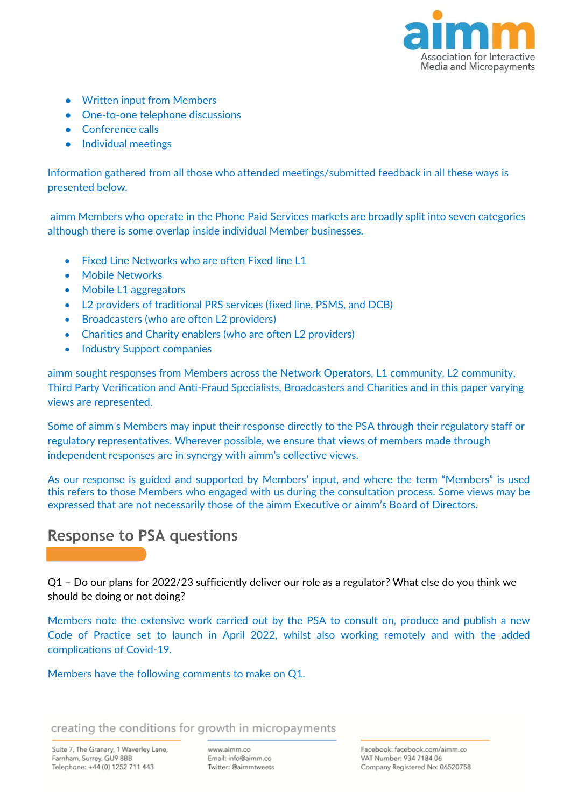

- Written input from Members
- One-to-one telephone discussions
- **Conference calls**
- Individual meetings

Information gathered from all those who attended meetings/submitted feedback in all these ways is presented below.

aimm Members who operate in the Phone Paid Services markets are broadly split into seven categories although there is some overlap inside individual Member businesses.

- Fixed Line Networks who are often Fixed line L1
- Mobile Networks
- Mobile L1 aggregators
- L2 providers of traditional PRS services (fixed line, PSMS, and DCB)
- Broadcasters (who are often L2 providers)
- Charities and Charity enablers (who are often L2 providers)
- Industry Support companies

aimm sought responses from Members across the Network Operators, L1 community, L2 community, Third Party Verification and Anti-Fraud Specialists, Broadcasters and Charities and in this paper varying views are represented.

Some of aimm's Members may input their response directly to the PSA through their regulatory staff or regulatory representatives. Wherever possible, we ensure that views of members made through independent responses are in synergy with aimm's collective views.

As our response is guided and supported by Members' input, and where the term "Members" is used this refers to those Members who engaged with us during the consultation process. Some views may be expressed that are not necessarily those of the aimm Executive or aimm's Board of Directors.

# **Response to PSA questions**

Q1 – Do our plans for 2022/23 sufficiently deliver our role as a regulator? What else do you think we should be doing or not doing?

Members note the extensive work carried out by the PSA to consult on, produce and publish a new Code of Practice set to launch in April 2022, whilst also working remotely and with the added complications of Covid-19.

Members have the following comments to make on Q1.

creating the conditions for growth in micropayments

www.aimm.co Email: info@aimm.co Twitter: @aimmtweets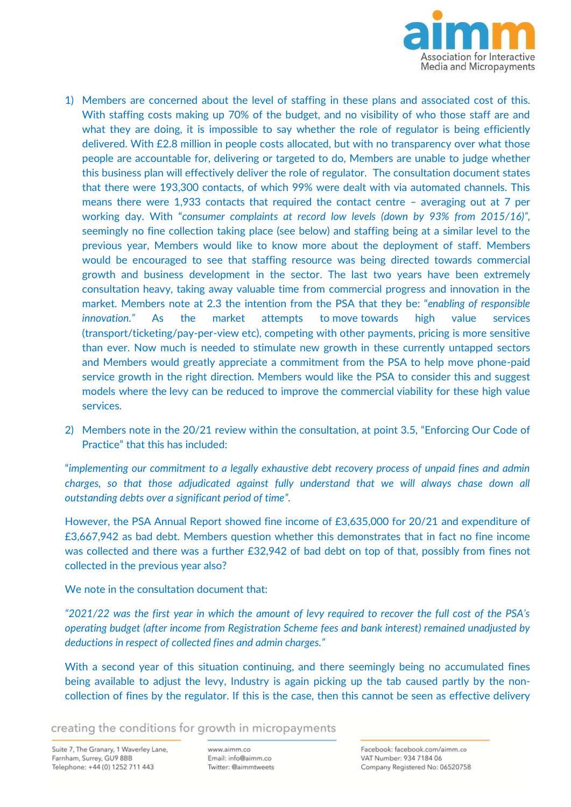

- 1) Members are concerned about the level of staffing in these plans and associated cost of this. With staffing costs making up 70% of the budget, and no visibility of who those staff are and what they are doing, it is impossible to say whether the role of regulator is being efficiently delivered. With £2.8 million in people costs allocated, but with no transparency over what those people are accountable for, delivering or targeted to do, Members are unable to judge whether this business plan will effectively deliver the role of regulator. The consultation document states that there were 193,300 contacts, of which 99% were dealt with via automated channels. This means there were 1,933 contacts that required the contact centre – averaging out at 7 per working day. With "*consumer complaints at record low levels (down by 93% from 2015/16)",* seemingly no fine collection taking place (see below) and staffing being at a similar level to the previous year, Members would like to know more about the deployment of staff. Members would be encouraged to see that staffing resource was being directed towards commercial growth and business development in the sector. The last two years have been extremely consultation heavy, taking away valuable time from commercial progress and innovation in the market. Members note at 2.3 the intention from the PSA that they be: "*enabling of responsible innovation."* As the market attempts to move towards high value services (transport/ticketing/pay-per-view etc), competing with other payments, pricing is more sensitive than ever. Now much is needed to stimulate new growth in these currently untapped sectors and Members would greatly appreciate a commitment from the PSA to help move phone-paid service growth in the right direction. Members would like the PSA to consider this and suggest models where the levy can be reduced to improve the commercial viability for these high value services.
- 2) Members note in the 20/21 review within the consultation, at point 3.5, "Enforcing Our Code of Practice" that this has included:

"*implementing our commitment to a legally exhaustive debt recovery process of unpaid fines and admin*  charges, so that those adjudicated against fully understand that we will always chase down all *outstanding debts over a significant period of time".*

However, the PSA Annual Report showed fine income of £3,635,000 for 20/21 and expenditure of £3,667,942 as bad debt. Members question whether this demonstrates that in fact no fine income was collected and there was a further £32,942 of bad debt on top of that, possibly from fines not collected in the previous year also?

We note in the consultation document that:

*"2021/22 was the first year in which the amount of levy required to recover the full cost of the PSA's operating budget (after income from Registration Scheme fees and bank interest) remained unadjusted by deductions in respect of collected fines and admin charges."*

With a second year of this situation continuing, and there seemingly being no accumulated fines being available to adjust the levy, Industry is again picking up the tab caused partly by the noncollection of fines by the regulator. If this is the case, then this cannot be seen as effective delivery

creating the conditions for growth in micropayments

www.aimm.co Email: info@aimm.co Twitter: @aimmtweets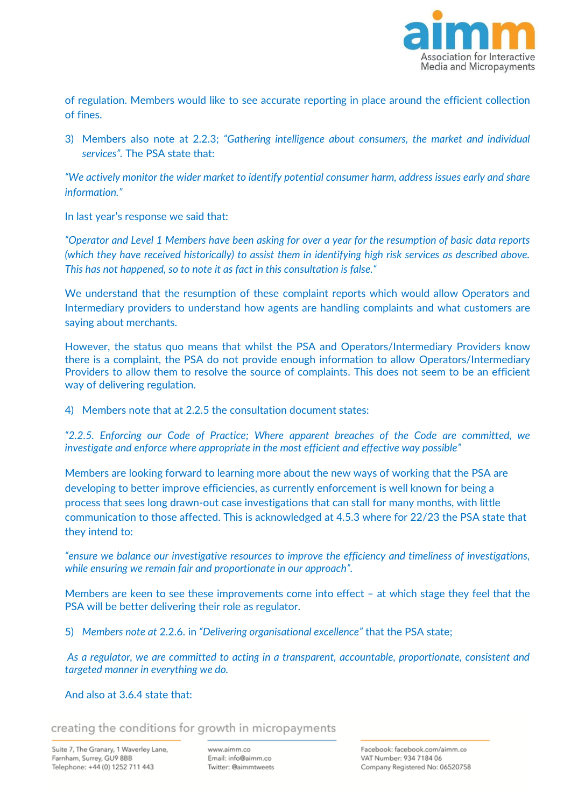

of regulation. Members would like to see accurate reporting in place around the efficient collection of fines.

3) Members also note at 2.2.3; *"Gathering intelligence about consumers, the market and individual services".* The PSA state that:

*"We actively monitor the wider market to identify potential consumer harm, address issues early and share information."*

In last year's response we said that:

*"Operator and Level 1 Members have been asking for over a year for the resumption of basic data reports (which they have received historically) to assist them in identifying high risk services as described above. This has not happened, so to note it as fact in this consultation is false."*

We understand that the resumption of these complaint reports which would allow Operators and Intermediary providers to understand how agents are handling complaints and what customers are saying about merchants.

However, the status quo means that whilst the PSA and Operators/Intermediary Providers know there is a complaint, the PSA do not provide enough information to allow Operators/Intermediary Providers to allow them to resolve the source of complaints. This does not seem to be an efficient way of delivering regulation.

4) Members note that at 2.2.5 the consultation document states:

*"2.2.5. Enforcing our Code of Practice; Where apparent breaches of the Code are committed, we investigate and enforce where appropriate in the most efficient and effective way possible"*

Members are looking forward to learning more about the new ways of working that the PSA are developing to better improve efficiencies, as currently enforcement is well known for being a process that sees long drawn-out case investigations that can stall for many months, with little communication to those affected. This is acknowledged at 4.5.3 where for 22/23 the PSA state that they intend to:

*"ensure we balance our investigative resources to improve the efficiency and timeliness of investigations, while ensuring we remain fair and proportionate in our approach".*

Members are keen to see these improvements come into effect – at which stage they feel that the PSA will be better delivering their role as regulator.

5) *Members note at* 2.2.6. in *"Delivering organisational excellence"* that the PSA state;

*As a regulator, we are committed to acting in a transparent, accountable, proportionate, consistent and targeted manner in everything we do.*

#### And also at 3.6.4 state that:

creating the conditions for growth in micropayments

www.aimm.co Email: info@aimm.co Twitter: @aimmtweets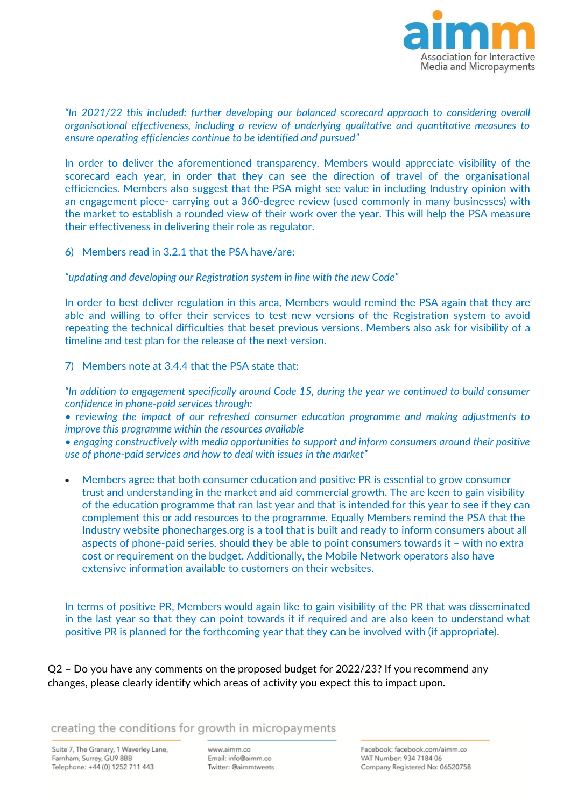

*"In 2021/22 this included: further developing our balanced scorecard approach to considering overall organisational effectiveness, including a review of underlying qualitative and quantitative measures to ensure operating efficiencies continue to be identified and pursued"*

In order to deliver the aforementioned transparency, Members would appreciate visibility of the scorecard each year, in order that they can see the direction of travel of the organisational efficiencies. Members also suggest that the PSA might see value in including Industry opinion with an engagement piece- carrying out a 360-degree review (used commonly in many businesses) with the market to establish a rounded view of their work over the year. This will help the PSA measure their effectiveness in delivering their role as regulator.

6) Members read in 3.2.1 that the PSA have/are:

*"updating and developing our Registration system in line with the new Code"*

In order to best deliver regulation in this area, Members would remind the PSA again that they are able and willing to offer their services to test new versions of the Registration system to avoid repeating the technical difficulties that beset previous versions. Members also ask for visibility of a timeline and test plan for the release of the next version.

7) Members note at 3.4.4 that the PSA state that:

*"In addition to engagement specifically around Code 15, during the year we continued to build consumer confidence in phone-paid services through:* 

*• reviewing the impact of our refreshed consumer education programme and making adjustments to improve this programme within the resources available* 

*• engaging constructively with media opportunities to support and inform consumers around their positive use of phone-paid services and how to deal with issues in the market"*

• Members agree that both consumer education and positive PR is essential to grow consumer trust and understanding in the market and aid commercial growth. The are keen to gain visibility of the education programme that ran last year and that is intended for this year to see if they can complement this or add resources to the programme. Equally Members remind the PSA that the Industry website phonecharges.org is a tool that is built and ready to inform consumers about all aspects of phone-paid series, should they be able to point consumers towards it – with no extra cost or requirement on the budget. Additionally, the Mobile Network operators also have extensive information available to customers on their websites.

In terms of positive PR, Members would again like to gain visibility of the PR that was disseminated in the last year so that they can point towards it if required and are also keen to understand what positive PR is planned for the forthcoming year that they can be involved with (if appropriate).

Q2 – Do you have any comments on the proposed budget for 2022/23? If you recommend any changes, please clearly identify which areas of activity you expect this to impact upon.

#### creating the conditions for growth in micropayments

Suite 7, The Granary, 1 Waverley Lane, Farnham, Surrey, GU9 8BB Telephone: +44 (0) 1252 711 443

www.aimm.co Email: info@aimm.co Twitter: @aimmtweets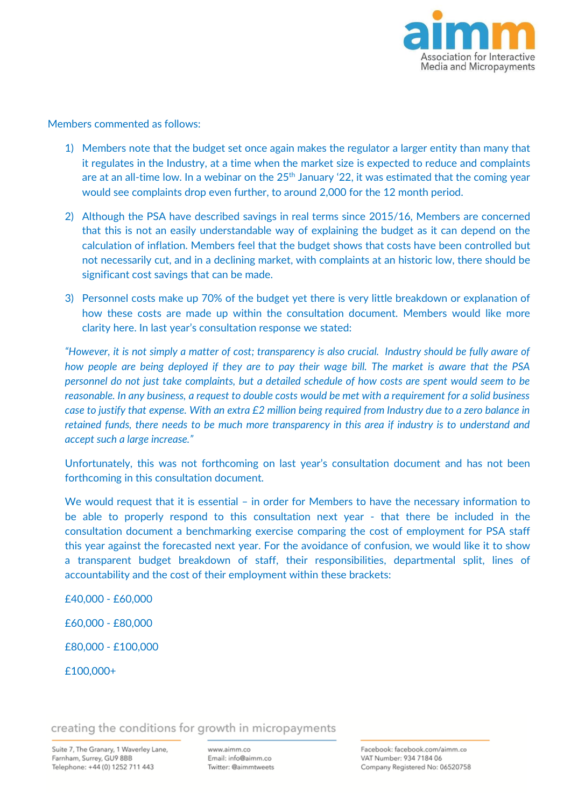

Members commented as follows:

- 1) Members note that the budget set once again makes the regulator a larger entity than many that it regulates in the Industry, at a time when the market size is expected to reduce and complaints are at an all-time low. In a webinar on the  $25<sup>th</sup>$  January '22, it was estimated that the coming year would see complaints drop even further, to around 2,000 for the 12 month period.
- 2) Although the PSA have described savings in real terms since 2015/16, Members are concerned that this is not an easily understandable way of explaining the budget as it can depend on the calculation of inflation. Members feel that the budget shows that costs have been controlled but not necessarily cut, and in a declining market, with complaints at an historic low, there should be significant cost savings that can be made.
- 3) Personnel costs make up 70% of the budget yet there is very little breakdown or explanation of how these costs are made up within the consultation document. Members would like more clarity here. In last year's consultation response we stated:

*"However, it is not simply a matter of cost; transparency is also crucial. Industry should be fully aware of how people are being deployed if they are to pay their wage bill. The market is aware that the PSA personnel do not just take complaints, but a detailed schedule of how costs are spent would seem to be reasonable. In any business, a request to double costs would be met with a requirement for a solid business case to justify that expense. With an extra £2 million being required from Industry due to a zero balance in retained funds, there needs to be much more transparency in this area if industry is to understand and accept such a large increase."*

Unfortunately, this was not forthcoming on last year's consultation document and has not been forthcoming in this consultation document.

We would request that it is essential - in order for Members to have the necessary information to be able to properly respond to this consultation next year - that there be included in the consultation document a benchmarking exercise comparing the cost of employment for PSA staff this year against the forecasted next year. For the avoidance of confusion, we would like it to show a transparent budget breakdown of staff, their responsibilities, departmental split, lines of accountability and the cost of their employment within these brackets:

£40,000 - £60,000 £60,000 - £80,000 £80,000 - £100,000 £100,000+

creating the conditions for growth in micropayments

www.aimm.co Email: info@aimm.co Twitter: @aimmtweets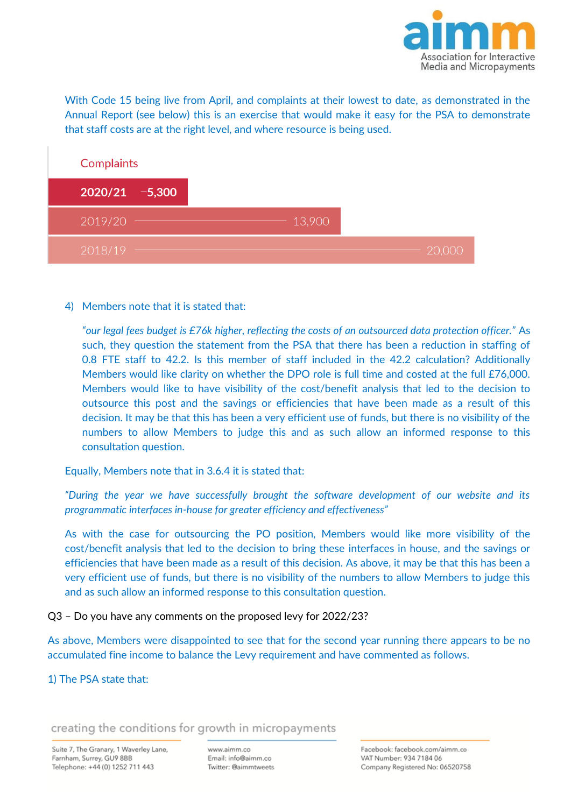

With Code 15 being live from April, and complaints at their lowest to date, as demonstrated in the Annual Report (see below) this is an exercise that would make it easy for the PSA to demonstrate that staff costs are at the right level, and where resource is being used.

| Complaints        |  |        |
|-------------------|--|--------|
| $2020/21 - 5,300$ |  |        |
| 2019/20           |  | 13,900 |
| 2018/19           |  |        |

4) Members note that it is stated that:

*"our legal fees budget is £76k higher, reflecting the costs of an outsourced data protection officer."* As such, they question the statement from the PSA that there has been a reduction in staffing of 0.8 FTE staff to 42.2. Is this member of staff included in the 42.2 calculation? Additionally Members would like clarity on whether the DPO role is full time and costed at the full £76,000. Members would like to have visibility of the cost/benefit analysis that led to the decision to outsource this post and the savings or efficiencies that have been made as a result of this decision. It may be that this has been a very efficient use of funds, but there is no visibility of the numbers to allow Members to judge this and as such allow an informed response to this consultation question.

Equally, Members note that in 3.6.4 it is stated that:

*"During the year we have successfully brought the software development of our website and its programmatic interfaces in-house for greater efficiency and effectiveness"*

As with the case for outsourcing the PO position, Members would like more visibility of the cost/benefit analysis that led to the decision to bring these interfaces in house, and the savings or efficiencies that have been made as a result of this decision. As above, it may be that this has been a very efficient use of funds, but there is no visibility of the numbers to allow Members to judge this and as such allow an informed response to this consultation question.

Q3 – Do you have any comments on the proposed levy for 2022/23?

As above, Members were disappointed to see that for the second year running there appears to be no accumulated fine income to balance the Levy requirement and have commented as follows.

#### 1) The PSA state that:

creating the conditions for growth in micropayments

Suite 7, The Granary, 1 Waverley Lane, Farnham, Surrey, GU9 8BB Telephone: +44 (0) 1252 711 443

www.aimm.co Email: info@aimm.co Twitter: @aimmtweets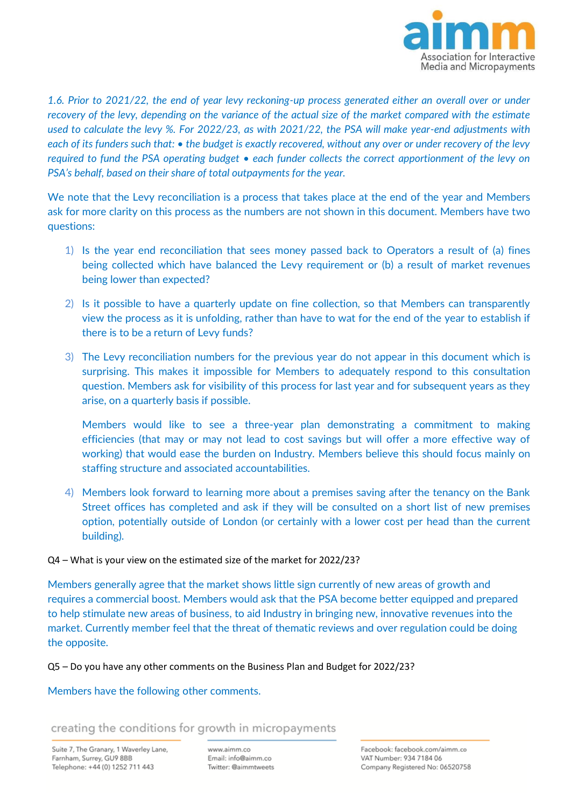

*1.6. Prior to 2021/22, the end of year levy reckoning-up process generated either an overall over or under recovery of the levy, depending on the variance of the actual size of the market compared with the estimate used to calculate the levy %. For 2022/23, as with 2021/22, the PSA will make year-end adjustments with each of its funders such that: • the budget is exactly recovered, without any over or under recovery of the levy required to fund the PSA operating budget • each funder collects the correct apportionment of the levy on PSA's behalf, based on their share of total outpayments for the year.*

We note that the Levy reconciliation is a process that takes place at the end of the year and Members ask for more clarity on this process as the numbers are not shown in this document. Members have two questions:

- 1) Is the year end reconciliation that sees money passed back to Operators a result of (a) fines being collected which have balanced the Levy requirement or (b) a result of market revenues being lower than expected?
- 2) Is it possible to have a quarterly update on fine collection, so that Members can transparently view the process as it is unfolding, rather than have to wat for the end of the year to establish if there is to be a return of Levy funds?
- 3) The Levy reconciliation numbers for the previous year do not appear in this document which is surprising. This makes it impossible for Members to adequately respond to this consultation question. Members ask for visibility of this process for last year and for subsequent years as they arise, on a quarterly basis if possible.

Members would like to see a three-year plan demonstrating a commitment to making efficiencies (that may or may not lead to cost savings but will offer a more effective way of working) that would ease the burden on Industry. Members believe this should focus mainly on staffing structure and associated accountabilities.

4) Members look forward to learning more about a premises saving after the tenancy on the Bank Street offices has completed and ask if they will be consulted on a short list of new premises option, potentially outside of London (or certainly with a lower cost per head than the current building).

#### Q4 – What is your view on the estimated size of the market for 2022/23?

Members generally agree that the market shows little sign currently of new areas of growth and requires a commercial boost. Members would ask that the PSA become better equipped and prepared to help stimulate new areas of business, to aid Industry in bringing new, innovative revenues into the market. Currently member feel that the threat of thematic reviews and over regulation could be doing the opposite.

Q5 – Do you have any other comments on the Business Plan and Budget for 2022/23?

Members have the following other comments.

creating the conditions for growth in micropayments

Suite 7, The Granary, 1 Waverley Lane, Farnham, Surrey, GU9 8BB Telephone: +44 (0) 1252 711 443

www.aimm.co Email: info@aimm.co Twitter: @aimmtweets